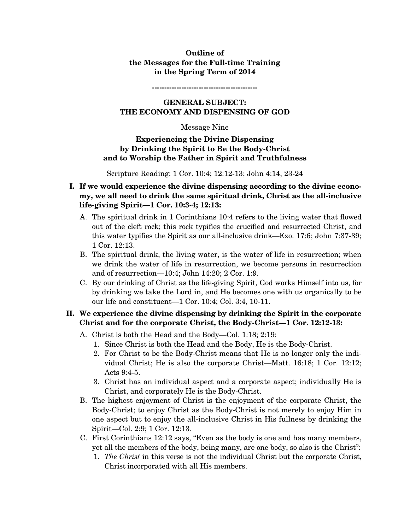## **Outline of the Messages for the Full-time Training in the Spring Term of 2014**

**-------------------------------------------** 

# **GENERAL SUBJECT: THE ECONOMY AND DISPENSING OF GOD**

#### Message Nine

### **Experiencing the Divine Dispensing by Drinking the Spirit to Be the Body-Christ and to Worship the Father in Spirit and Truthfulness**

Scripture Reading: 1 Cor. 10:4; 12:12-13; John 4:14, 23-24

# **I. If we would experience the divine dispensing according to the divine economy, we all need to drink the same spiritual drink, Christ as the all-inclusive life-giving Spirit—1 Cor. 10:3-4; 12:13:**

- A. The spiritual drink in 1 Corinthians 10:4 refers to the living water that flowed out of the cleft rock; this rock typifies the crucified and resurrected Christ, and this water typifies the Spirit as our all-inclusive drink—Exo. 17:6; John 7:37-39; 1 Cor. 12:13.
- B. The spiritual drink, the living water, is the water of life in resurrection; when we drink the water of life in resurrection, we become persons in resurrection and of resurrection—10:4; John 14:20; 2 Cor. 1:9.
- C. By our drinking of Christ as the life-giving Spirit, God works Himself into us, for by drinking we take the Lord in, and He becomes one with us organically to be our life and constituent—1 Cor. 10:4; Col. 3:4, 10-11.

## **II. We experience the divine dispensing by drinking the Spirit in the corporate Christ and for the corporate Christ, the Body-Christ—1 Cor. 12:12-13:**

- A. Christ is both the Head and the Body—Col. 1:18; 2:19:
	- 1. Since Christ is both the Head and the Body, He is the Body-Christ.
	- 2. For Christ to be the Body-Christ means that He is no longer only the individual Christ; He is also the corporate Christ—Matt. 16:18; 1 Cor. 12:12; Acts 9:4-5.
	- 3. Christ has an individual aspect and a corporate aspect; individually He is Christ, and corporately He is the Body-Christ.
- B. The highest enjoyment of Christ is the enjoyment of the corporate Christ, the Body-Christ; to enjoy Christ as the Body-Christ is not merely to enjoy Him in one aspect but to enjoy the all-inclusive Christ in His fullness by drinking the Spirit—Col. 2:9; 1 Cor. 12:13.
- C. First Corinthians 12:12 says, "Even as the body is one and has many members, yet all the members of the body, being many, are one body, so also is the Christ":
	- 1. *The Christ* in this verse is not the individual Christ but the corporate Christ, Christ incorporated with all His members.